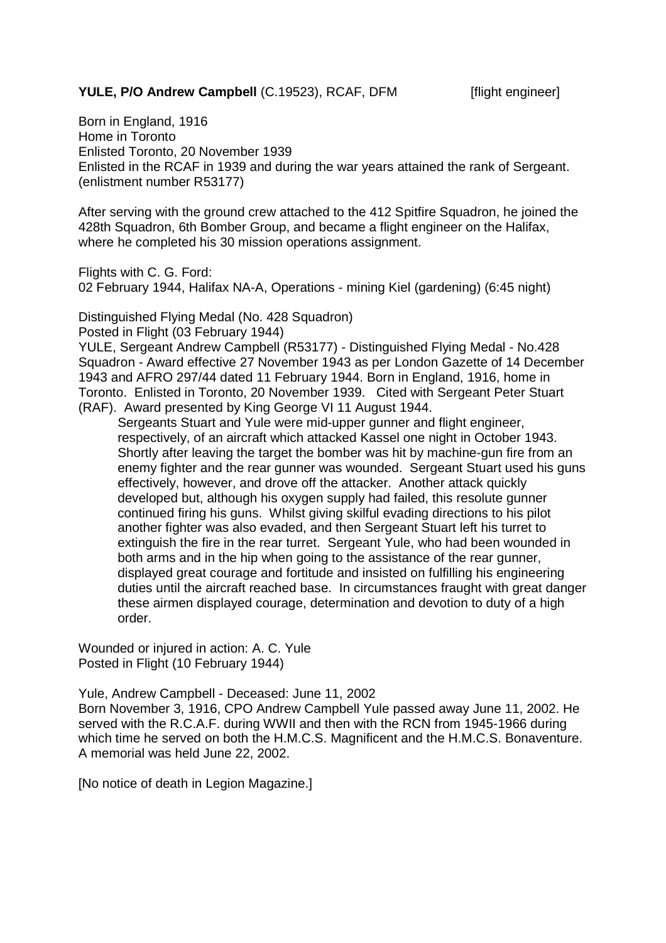## **YULE, P/O Andrew Campbell** (C.19523), RCAF, DFM [flight engineer]

Born in England, 1916 Home in Toronto Enlisted Toronto, 20 November 1939 Enlisted in the RCAF in 1939 and during the war years attained the rank of Sergeant. (enlistment number R53177)

After serving with the ground crew attached to the 412 Spitfire Squadron, he joined the 428th Squadron, 6th Bomber Group, and became a flight engineer on the Halifax, where he completed his 30 mission operations assignment.

Flights with C. G. Ford:

02 February 1944, Halifax NA-A, Operations - mining Kiel (gardening) (6:45 night)

Distinguished Flying Medal (No. 428 Squadron)

Posted in Flight (03 February 1944)

YULE, Sergeant Andrew Campbell (R53177) - Distinguished Flying Medal - No.428 Squadron - Award effective 27 November 1943 as per London Gazette of 14 December 1943 and AFRO 297/44 dated 11 February 1944. Born in England, 1916, home in Toronto. Enlisted in Toronto, 20 November 1939. Cited with Sergeant Peter Stuart (RAF). Award presented by King George VI 11 August 1944.

Sergeants Stuart and Yule were mid-upper gunner and flight engineer, respectively, of an aircraft which attacked Kassel one night in October 1943. Shortly after leaving the target the bomber was hit by machine-gun fire from an enemy fighter and the rear gunner was wounded. Sergeant Stuart used his guns effectively, however, and drove off the attacker. Another attack quickly developed but, although his oxygen supply had failed, this resolute gunner continued firing his guns. Whilst giving skilful evading directions to his pilot another fighter was also evaded, and then Sergeant Stuart left his turret to extinguish the fire in the rear turret. Sergeant Yule, who had been wounded in both arms and in the hip when going to the assistance of the rear gunner, displayed great courage and fortitude and insisted on fulfilling his engineering duties until the aircraft reached base. In circumstances fraught with great danger these airmen displayed courage, determination and devotion to duty of a high order.

Wounded or injured in action: A. C. Yule Posted in Flight (10 February 1944)

Yule, Andrew Campbell - Deceased: June 11, 2002

Born November 3, 1916, CPO Andrew Campbell Yule passed away June 11, 2002. He served with the R.C.A.F. during WWII and then with the RCN from 1945-1966 during which time he served on both the H.M.C.S. Magnificent and the H.M.C.S. Bonaventure. A memorial was held June 22, 2002.

[No notice of death in Legion Magazine.]